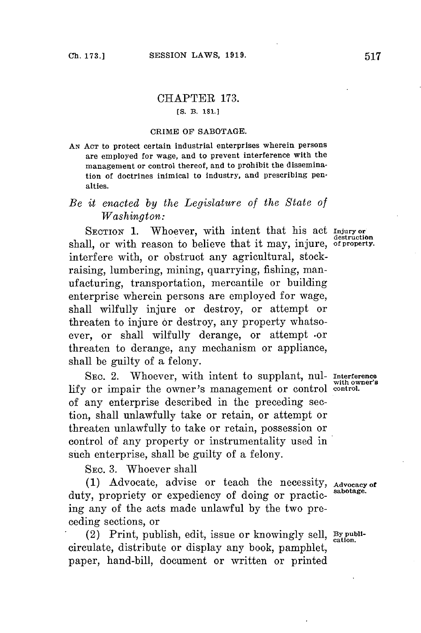# CHAPTER **173.**

### **[S. B. 181.1**

#### **CRIME OF SABOTAGE.**

**AN ACT** to protect certain industrial enterprises wherein persons are employed for wage, and to prevent interference with the management or control thereof, and to prohibit the dissemination of doctrines inimical to industry, and prescribing pen**alties.**

## *Be it enacted by the Legislature of the State of Washington:*

SECTION 1. Whoever, with intent that his act *Injury* or shall, or with reason to believe that it may, injure, of property. interfere with, or obstruct any agricultural, stockraising, lumbering, mining, quarrying, fishing, manufacturing, transportation, mercantile or building enterprise wherein persons are employed for wage, shall wilfully injure or destroy, or attempt or threaten to injure or destroy, any property whatsoever, or shall wilfully derange, or attempt .or threaten to derange, any mechanism or appliance, shall be guilty of a felony.

SEC. 2. Whoever, with intent to supplant, nul- **Interference lify** or impair the owner's management or control **control.** of any enterprise described in the preceding section, shall unlawfully take or retain, or attempt or threaten unlawfully to take or retain, possession or control of any property or instrumentality used in such enterprise, shall be guilty of a felony.

**SEC. 3.** Whoever shall

**(1)** Advocate, advise or teach the necessity, **Advocacy of** duty, propriety or expediency of doing or practicing any of the acts made unlawful **by** the two preceding sections, or

(2) Print, publish, edit, issue or knowingly sell, **Bypubi**circulate, distribute or display any book, pamphlet, paper, hand-bill, document or written or printed

with owner's